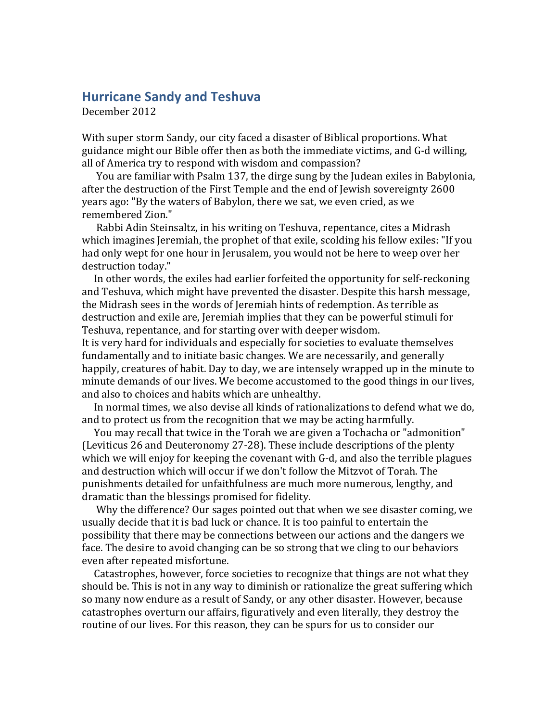## **Hurricane Sandy and Teshuva**

December 2012

With super storm Sandy, our city faced a disaster of Biblical proportions. What guidance might our Bible offer then as both the immediate victims, and G-d willing, all of America try to respond with wisdom and compassion?

You are familiar with Psalm 137, the dirge sung by the Judean exiles in Babylonia, after the destruction of the First Temple and the end of Jewish sovereignty 2600 years ago: "By the waters of Babylon, there we sat, we even cried, as we remembered Zion."

Rabbi Adin Steinsaltz, in his writing on Teshuva, repentance, cites a Midrash which imagines Jeremiah, the prophet of that exile, scolding his fellow exiles: "If you had only wept for one hour in Jerusalem, you would not be here to weep over her destruction today."

In other words, the exiles had earlier forfeited the opportunity for self-reckoning and Teshuva, which might have prevented the disaster. Despite this harsh message, the Midrash sees in the words of Jeremiah hints of redemption. As terrible as destruction and exile are, Jeremiah implies that they can be powerful stimuli for Teshuva, repentance, and for starting over with deeper wisdom.

It is very hard for individuals and especially for societies to evaluate themselves fundamentally and to initiate basic changes. We are necessarily, and generally happily, creatures of habit. Day to day, we are intensely wrapped up in the minute to minute demands of our lives. We become accustomed to the good things in our lives, and also to choices and habits which are unhealthy.

In normal times, we also devise all kinds of rationalizations to defend what we do, and to protect us from the recognition that we may be acting harmfully.

You may recall that twice in the Torah we are given a Tochacha or "admonition" (Leviticus 26 and Deuteronomy 27-28). These include descriptions of the plenty which we will enjoy for keeping the covenant with G-d, and also the terrible plagues and destruction which will occur if we don't follow the Mitzvot of Torah. The punishments detailed for unfaithfulness are much more numerous, lengthy, and dramatic than the blessings promised for fidelity.

Why the difference? Our sages pointed out that when we see disaster coming, we usually decide that it is bad luck or chance. It is too painful to entertain the possibility that there may be connections between our actions and the dangers we face. The desire to avoid changing can be so strong that we cling to our behaviors even after repeated misfortune.

Catastrophes, however, force societies to recognize that things are not what they should be. This is not in any way to diminish or rationalize the great suffering which so many now endure as a result of Sandy, or any other disaster. However, because catastrophes overturn our affairs, figuratively and even literally, they destroy the routine of our lives. For this reason, they can be spurs for us to consider our